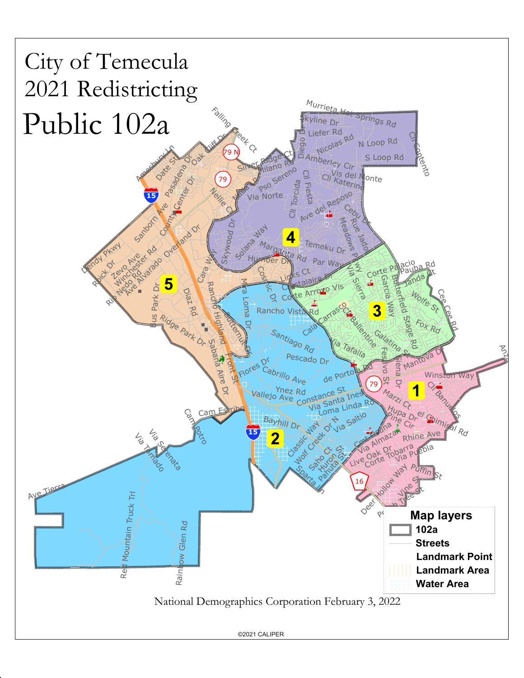